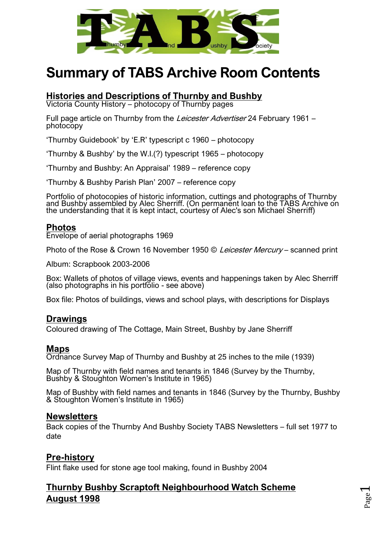

# **Summary of TABS Archive Room Contents**

## **Histories and Descriptions of Thurnby and Bushby**

Victoria County History – photocopy of Thurnby pages

Full page article on Thurnby from the *Leicester Advertiser* 24 February 1961 – photocopy

'Thurnby Guidebook' by 'E.R' typescript c 1960 – photocopy

'Thurnby & Bushby' by the W.I.(?) typescript 1965 – photocopy

'Thurnby and Bushby: An Appraisal' 1989 – reference copy

'Thurnby & Bushby Parish Plan' 2007 – reference copy

Portfolio of photocopies of historic information, cuttings and photographs of Thurnby and Bushby assembled by Alec Sherriff. (On permanent loan to the TABS Archive on the understanding that it is kept intact, courtesy of Alec's son Michael Sherriff)

#### **Photos**

Envelope of aerial photographs 1969

Photo of the Rose & Crown 16 November 1950 © Leicester Mercury – scanned print

Album: Scrapbook 2003-2006

Box: Wallets of photos of village views, events and happenings taken by Alec Sherriff (also photographs in his portfolio - see above)

Box file: Photos of buildings, views and school plays, with descriptions for Displays

## **Drawings**

Coloured drawing of The Cottage, Main Street, Bushby by Jane Sherriff

#### **Maps**

Ordnance Survey Map of Thurnby and Bushby at 25 inches to the mile (1939)

Map of Thurnby with field names and tenants in 1846 (Survey by the Thurnby, Bushby & Stoughton Women's Institute in 1965)

Map of Bushby with field names and tenants in 1846 (Survey by the Thurnby, Bushby & Stoughton Women's Institute in 1965)

#### **Newsletters**

Back copies of the Thurnby And Bushby Society TABS Newsletters – full set 1977 to date

## **Pre-history**

Flint flake used for stone age tool making, found in Bushby 2004

# **Thurnby Bushby Scraptoft Neighbourhood Watch Scheme August 1998**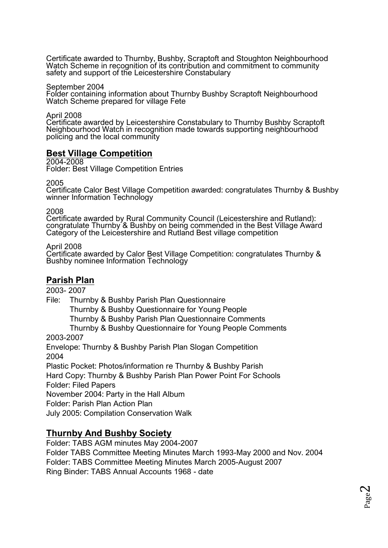Certificate awarded to Thurnby, Bushby, Scraptoft and Stoughton Neighbourhood Watch Scheme in recognition of its contribution and commitment to community safety and support of the Leicestershire Constabulary

September 2004 Folder containing information about Thurnby Bushby Scraptoft Neighbourhood Watch Scheme prepared for village Fete

April 2008

Certificate awarded by Leicestershire Constabulary to Thurnby Bushby Scraptoft Neighbourhood Watch in recognition made towards supporting neighbourhood policing and the local community

## **Best Village Competition**

2004-2008 Folder: Best Village Competition Entries

2005

Certificate Calor Best Village Competition awarded: congratulates Thurnby & Bushby winner Information Technology

2008

Certificate awarded by Rural Community Council (Leicestershire and Rutland): congratulate Thurnby & Bushby on being commended in the Best Village Award Category of the Leicestershire and Rutland Best village competition

April 2008

Certificate awarded by Calor Best Village Competition: congratulates Thurnby & Bushby nominee Information Technology

# **Parish Plan**

2003- 2007

File: Thurnby & Bushby Parish Plan Questionnaire

Thurnby & Bushby Questionnaire for Young People

Thurnby & Bushby Parish Plan Questionnaire Comments

Thurnby & Bushby Questionnaire for Young People Comments

2003-2007

Envelope: Thurnby & Bushby Parish Plan Slogan Competition 2004

Plastic Pocket: Photos/information re Thurnby & Bushby Parish

Hard Copy: Thurnby & Bushby Parish Plan Power Point For Schools Folder: Filed Papers

November 2004: Party in the Hall Album

Folder: Parish Plan Action Plan

July 2005: Compilation Conservation Walk

## **Thurnby And Bushby Society**

Folder: TABS AGM minutes May 2004-2007 Folder TABS Committee Meeting Minutes March 1993-May 2000 and Nov. 2004 Folder: TABS Committee Meeting Minutes March 2005-August 2007 Ring Binder: TABS Annual Accounts 1968 - date